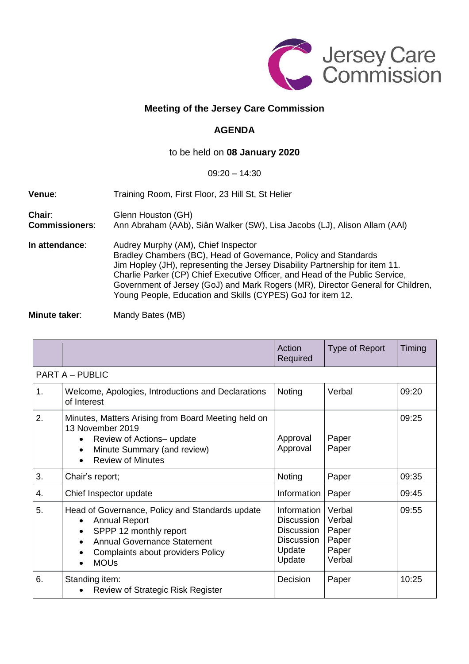

## **Meeting of the Jersey Care Commission**

## **AGENDA**

## to be held on **08 January 2020**

## 09:20 – 14:30

| Venue:                          | Training Room, First Floor, 23 Hill St, St Helier                                                                                                                                                                                                                                                                                                                                                                        |  |  |
|---------------------------------|--------------------------------------------------------------------------------------------------------------------------------------------------------------------------------------------------------------------------------------------------------------------------------------------------------------------------------------------------------------------------------------------------------------------------|--|--|
| Chair:<br><b>Commissioners:</b> | Glenn Houston (GH)<br>Ann Abraham (AAb), Siân Walker (SW), Lisa Jacobs (LJ), Alison Allam (AAl)                                                                                                                                                                                                                                                                                                                          |  |  |
| In attendance:                  | Audrey Murphy (AM), Chief Inspector<br>Bradley Chambers (BC), Head of Governance, Policy and Standards<br>Jim Hopley (JH), representing the Jersey Disability Partnership for item 11.<br>Charlie Parker (CP) Chief Executive Officer, and Head of the Public Service,<br>Government of Jersey (GoJ) and Mark Rogers (MR), Director General for Children,<br>Young People, Education and Skills (CYPES) GoJ for item 12. |  |  |

**Minute taker:** Mandy Bates (MB)

|                        |                                                                                                                                                                                                                                    | Action<br>Required                                                                             | Type of Report                                        | Timing |  |  |  |
|------------------------|------------------------------------------------------------------------------------------------------------------------------------------------------------------------------------------------------------------------------------|------------------------------------------------------------------------------------------------|-------------------------------------------------------|--------|--|--|--|
| <b>PART A - PUBLIC</b> |                                                                                                                                                                                                                                    |                                                                                                |                                                       |        |  |  |  |
| 1.                     | Welcome, Apologies, Introductions and Declarations<br>of Interest                                                                                                                                                                  | Noting                                                                                         | Verbal                                                | 09:20  |  |  |  |
| 2.                     | Minutes, Matters Arising from Board Meeting held on<br>13 November 2019<br>Review of Actions-update<br>Minute Summary (and review)<br><b>Review of Minutes</b>                                                                     | Approval<br>Approval                                                                           | Paper<br>Paper                                        | 09:25  |  |  |  |
| 3.                     | Chair's report;                                                                                                                                                                                                                    | Noting                                                                                         | Paper                                                 | 09:35  |  |  |  |
| 4.                     | Chief Inspector update                                                                                                                                                                                                             | Information                                                                                    | Paper                                                 | 09:45  |  |  |  |
| 5.                     | Head of Governance, Policy and Standards update<br><b>Annual Report</b><br>$\bullet$<br>SPPP 12 monthly report<br><b>Annual Governance Statement</b><br>$\bullet$<br>Complaints about providers Policy<br><b>MOUs</b><br>$\bullet$ | Information<br><b>Discussion</b><br><b>Discussion</b><br><b>Discussion</b><br>Update<br>Update | Verbal<br>Verbal<br>Paper<br>Paper<br>Paper<br>Verbal | 09:55  |  |  |  |
| 6.                     | Standing item:<br><b>Review of Strategic Risk Register</b>                                                                                                                                                                         | Decision                                                                                       | Paper                                                 | 10:25  |  |  |  |